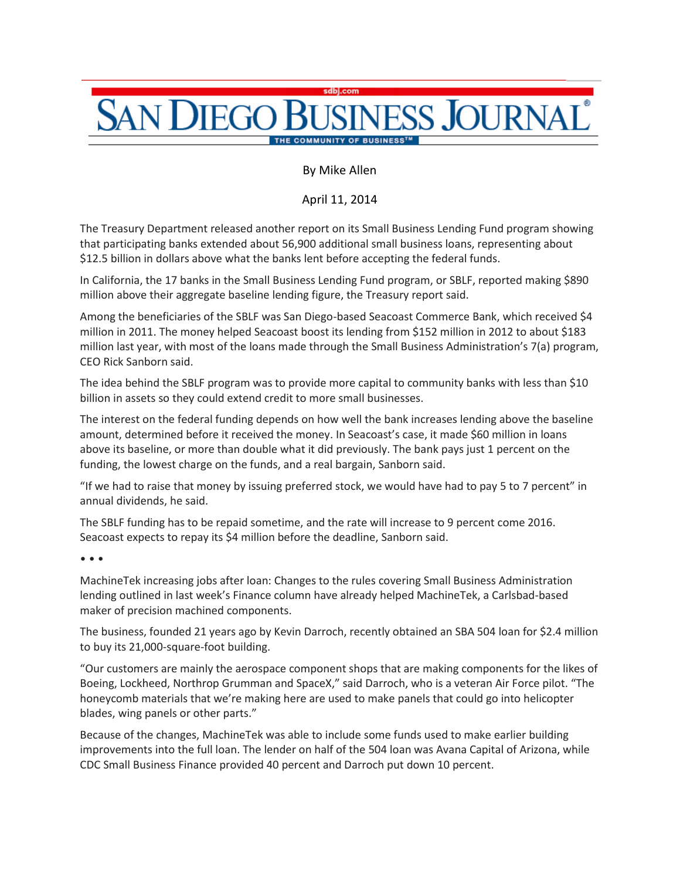## **SAN DIEGO SINESS JOURNAL**

By Mike Allen

April 11, 2014

The Treasury Department released another report on its Small Business Lending Fund program showing that participating banks extended about 56,900 additional small business loans, representing about \$12.5 billion in dollars above what the banks lent before accepting the federal funds.

In California, the 17 banks in the Small Business Lending Fund program, or SBLF, reported making \$890 million above their aggregate baseline lending figure, the Treasury report said.

Among the beneficiaries of the SBLF was San Diego-based Seacoast Commerce Bank, which received \$4 million in 2011. The money helped Seacoast boost its lending from \$152 million in 2012 to about \$183 million last year, with most of the loans made through the Small Business Administration's 7(a) program, CEO Rick Sanborn said.

The idea behind the SBLF program was to provide more capital to community banks with less than \$10 billion in assets so they could extend credit to more small businesses.

The interest on the federal funding depends on how well the bank increases lending above the baseline amount, determined before it received the money. In Seacoast's case, it made \$60 million in loans above its baseline, or more than double what it did previously. The bank pays just 1 percent on the funding, the lowest charge on the funds, and a real bargain, Sanborn said.

"If we had to raise that money by issuing preferred stock, we would have had to pay 5 to 7 percent" in annual dividends, he said.

The SBLF funding has to be repaid sometime, and the rate will increase to 9 percent come 2016. Seacoast expects to repay its \$4 million before the deadline, Sanborn said.

• • •

MachineTek increasing jobs after loan: Changes to the rules covering Small Business Administration lending outlined in last week's Finance column have already helped MachineTek, a Carlsbad-based maker of precision machined components.

The business, founded 21 years ago by Kevin Darroch, recently obtained an SBA 504 loan for \$2.4 million to buy its 21,000-square-foot building.

"Our customers are mainly the aerospace component shops that are making components for the likes of Boeing, Lockheed, Northrop Grumman and SpaceX," said Darroch, who is a veteran Air Force pilot. "The honeycomb materials that we're making here are used to make panels that could go into helicopter blades, wing panels or other parts."

Because of the changes, MachineTek was able to include some funds used to make earlier building improvements into the full loan. The lender on half of the 504 loan was Avana Capital of Arizona, while CDC Small Business Finance provided 40 percent and Darroch put down 10 percent.